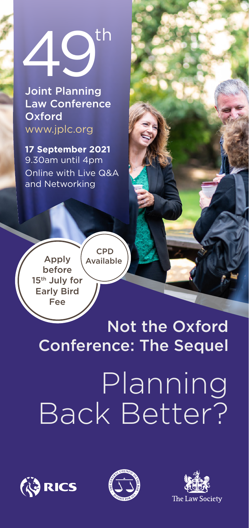

Joint Planning Law Conference **Oxford** www.jplc.org

**17 September 2021**  9.30am until 4pm Online with Live Q&A and Networking

Apply before 15th July for Early Bird Fee CPD Available

# Not the Oxford Conference: The Sequel

# Planning Back Better?





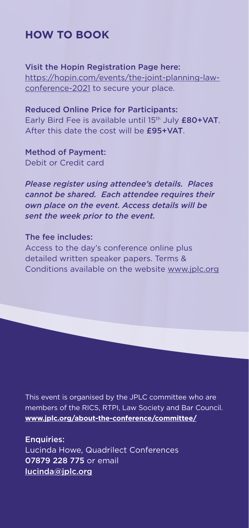## **HOW TO BOOK**

Visit the Hopin Registration Page here: [https://hopin.com/events/the-joint-planning-law](https://hopin.com/events/the-joint-planning-law-conference-2021)[conference-2021](https://hopin.com/events/the-joint-planning-law-conference-2021) to secure your place.

Reduced Online Price for Participants: Early Bird Fee is available until 15<sup>th</sup> July £80+VAT. After this date the cost will be £95+VAT.

Method of Payment: Debit or Credit card

*Please register using attendee's details. Places cannot be shared. Each attendee requires their own place on the event. Access details will be sent the week prior to the event.*

#### The fee includes:

Access to the day's conference online plus detailed written speaker papers. Terms & Conditions available on the website [www.jplc.org](http://www.jplc.org)

This event is organised by the JPLC committee who are members of the RICS, RTPI, Law Society and Bar Council. **[www.jplc.org/about-the-conference/committee/](http://www.jplc.org/about-the-conference/committee/ )**

Enquiries: Lucinda Howe, Quadrilect Conferences 07879 228 775 or email [lucinda@jplc.org](mailto:lucinda%40jplc.org?subject=49th%20Joint%20Planning%20%0ALaw%20Conference%20%0AOxford)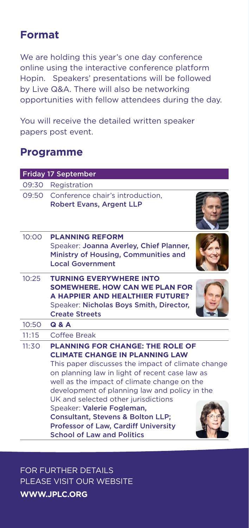# **Format**

We are holding this year's one day conference online using the interactive conference platform Hopin. Speakers' presentations will be followed by Live Q&A. There will also be networking opportunities with fellow attendees during the day.

You will receive the detailed written speaker papers post event.

### **Programme**

| <b>Friday 17 September</b> |                                                                                                                                                                                                                                                                                                                                                                                                                                                                                                  |  |
|----------------------------|--------------------------------------------------------------------------------------------------------------------------------------------------------------------------------------------------------------------------------------------------------------------------------------------------------------------------------------------------------------------------------------------------------------------------------------------------------------------------------------------------|--|
| 09:30                      | Registration                                                                                                                                                                                                                                                                                                                                                                                                                                                                                     |  |
| 09:50                      | Conference chair's introduction.<br><b>Robert Evans, Argent LLP</b>                                                                                                                                                                                                                                                                                                                                                                                                                              |  |
| 10:00                      | <b>PI ANNING REFORM</b><br>Speaker: Joanna Averley, Chief Planner,<br>Ministry of Housing, Communities and<br><b>Local Government</b>                                                                                                                                                                                                                                                                                                                                                            |  |
| 10:25                      | <b>TURNING EVERYWHERE INTO</b><br>SOMEWHERE, HOW CAN WE PLAN FOR<br>A HAPPIER AND HEALTHIER FUTURE?<br>Speaker: Nicholas Boys Smith, Director,<br><b>Create Streets</b>                                                                                                                                                                                                                                                                                                                          |  |
| 10:50                      | Q & A                                                                                                                                                                                                                                                                                                                                                                                                                                                                                            |  |
| 11:15                      | Coffee Break                                                                                                                                                                                                                                                                                                                                                                                                                                                                                     |  |
| 11:30                      | <b>PLANNING FOR CHANGE: THE ROLE OF</b><br><b>CLIMATE CHANGE IN PLANNING LAW</b><br>This paper discusses the impact of climate change<br>on planning law in light of recent case law as<br>well as the impact of climate change on the<br>development of planning law and policy in the<br>UK and selected other jurisdictions<br>Speaker: Valerie Fogleman,<br><b>Consultant, Stevens &amp; Bolton LLP;</b><br><b>Professor of Law, Cardiff University</b><br><b>School of Law and Politics</b> |  |

FOR FURTHER DETAILS PLEASE VISIT OUR WEBSITE **WWW.JPLC.ORG**